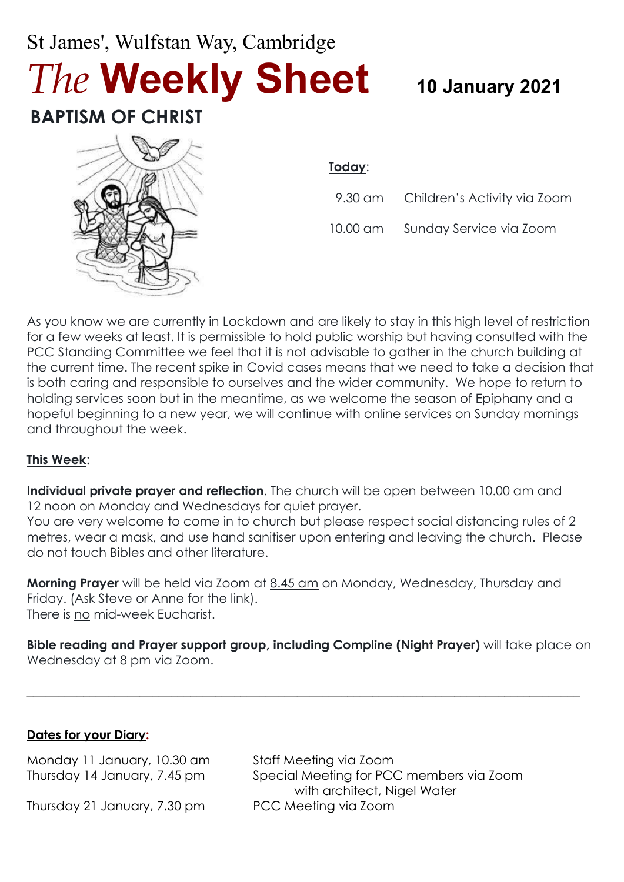# St James', Wulfstan Way, Cambridge *The* **Weekly Sheet <sup>10</sup> January 2021**

## **BAPTISM OF CHRIST**



#### **Today**:

| 9.30 am Children's Activity via Zoom |
|--------------------------------------|
|                                      |

10.00 am Sunday Service via Zoom

As you know we are currently in Lockdown and are likely to stay in this high level of restriction for a few weeks at least. It is permissible to hold public worship but having consulted with the PCC Standing Committee we feel that it is not advisable to gather in the church building at the current time. The recent spike in Covid cases means that we need to take a decision that is both caring and responsible to ourselves and the wider community. We hope to return to holding services soon but in the meantime, as we welcome the season of Epiphany and a hopeful beginning to a new year, we will continue with online services on Sunday mornings and throughout the week.

#### **This Week**:

**Individua**l **private prayer and reflection**. The church will be open between 10.00 am and 12 noon on Monday and Wednesdays for quiet prayer.

You are very welcome to come in to church but please respect social distancing rules of 2 metres, wear a mask, and use hand sanitiser upon entering and leaving the church. Please do not touch Bibles and other literature.

**Morning Prayer** will be held via Zoom at 8.45 am on Monday, Wednesday, Thursday and Friday. (Ask Steve or Anne for the link). There is no mid-week Eucharist.

**Bible reading and Prayer support group, including Compline (Night Prayer)** will take place on Wednesday at 8 pm via Zoom.

 $\_$  , and the set of the set of the set of the set of the set of the set of the set of the set of the set of the set of the set of the set of the set of the set of the set of the set of the set of the set of the set of th

#### **Dates for your Diary:**

Monday 11 January, 10.30 am Staff Meeting via Zoom

Thursday 21 January, 7.30 pm PCC Meeting via Zoom

Thursday 14 January, 7.45 pm Special Meeting for PCC members via Zoom with architect, Nigel Water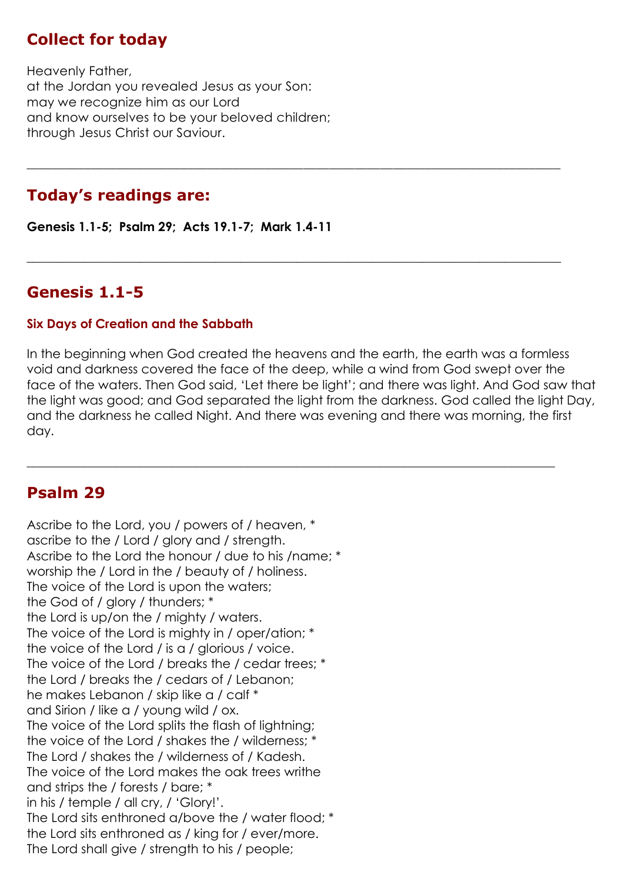#### **Collect for today**

Heavenly Father, at the Jordan you revealed Jesus as your Son: may we recognize him as our Lord and know ourselves to be your beloved children; through Jesus Christ our Saviour.

#### **Today's readings are:**

**Genesis 1.1-5; Psalm 29; Acts 19.1-7; Mark 1.4-11**

#### **Genesis 1.1-5**

#### **Six Days of Creation and the Sabbath**

In the beginning when God created the heavens and the earth, the earth was a formless void and darkness covered the face of the deep, while a wind from God swept over the face of the waters. Then God said, 'Let there be light'; and there was light. And God saw that the light was good; and God separated the light from the darkness. God called the light Day, and the darkness he called Night. And there was evening and there was morning, the first day.

 $\_$  , and the set of the set of the set of the set of the set of the set of the set of the set of the set of the set of the set of the set of the set of the set of the set of the set of the set of the set of the set of th

\_\_\_\_\_\_\_\_\_\_\_\_\_\_\_\_\_\_\_\_\_\_\_\_\_\_\_\_\_\_\_\_\_\_\_\_\_\_\_\_\_\_\_\_\_\_\_\_\_\_\_\_\_\_\_\_\_\_\_\_\_\_\_\_\_\_\_\_\_\_\_\_\_\_\_\_\_\_\_\_\_\_\_

 $\_$  , and the set of the set of the set of the set of the set of the set of the set of the set of the set of the set of the set of the set of the set of the set of the set of the set of the set of the set of the set of th

#### **Psalm 29**

Ascribe to the Lord, you / powers of / heaven, \* ascribe to the / Lord / glory and / strength. Ascribe to the Lord the honour / due to his /name; \* worship the / Lord in the / beauty of / holiness. The voice of the Lord is upon the waters; the God of / glory / thunders; \* the Lord is up/on the / mighty / waters. The voice of the Lord is mighty in / oper/ation; \* the voice of the Lord / is a / glorious / voice. The voice of the Lord / breaks the / cedar trees; \* the Lord / breaks the / cedars of / Lebanon; he makes Lebanon / skip like a / calf \* and Sirion / like a / young wild / ox. The voice of the Lord splits the flash of lightning; the voice of the Lord / shakes the / wilderness: The Lord / shakes the / wilderness of / Kadesh. The voice of the Lord makes the oak trees writhe and strips the / forests / bare; \* in his / temple / all cry, / 'Glory!'. The Lord sits enthroned a/bove the / water flood; \* the Lord sits enthroned as / king for / ever/more. The Lord shall give / strength to his / people;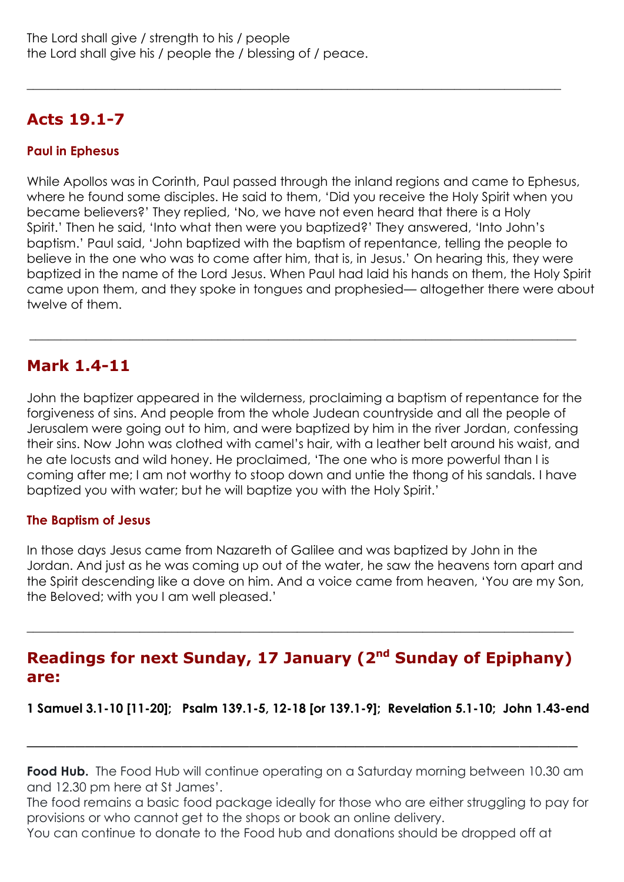### **Acts 19.1-7**

#### **Paul in Ephesus**

While Apollos was in Corinth, Paul passed through the inland regions and came to Ephesus, where he found some disciples. He said to them, 'Did you receive the Holy Spirit when you became believers?' They replied, 'No, we have not even heard that there is a Holy Spirit.' Then he said, 'Into what then were you baptized?' They answered, 'Into John's baptism.' Paul said, 'John baptized with the baptism of repentance, telling the people to believe in the one who was to come after him, that is, in Jesus.' On hearing this, they were baptized in the name of the Lord Jesus. When Paul had laid his hands on them, the Holy Spirit came upon them, and they spoke in tongues and prophesied— altogether there were about twelve of them.

 $\_$  , and the set of the set of the set of the set of the set of the set of the set of the set of the set of the set of the set of the set of the set of the set of the set of the set of the set of the set of the set of th

#### **Mark 1.4-11**

John the baptizer appeared in the wilderness, proclaiming a baptism of repentance for the forgiveness of sins. And people from the whole Judean countryside and all the people of Jerusalem were going out to him, and were baptized by him in the river Jordan, confessing their sins. Now John was clothed with camel's hair, with a leather belt around his waist, and he ate locusts and wild honey. He proclaimed, 'The one who is more powerful than I is coming after me; I am not worthy to stoop down and untie the thong of his sandals. I have baptized you with water; but he will baptize you with the Holy Spirit.'

 $\_$  , and the set of the set of the set of the set of the set of the set of the set of the set of the set of the set of the set of the set of the set of the set of the set of the set of the set of the set of the set of th

#### **The Baptism of Jesus**

In those days Jesus came from Nazareth of Galilee and was baptized by John in the Jordan. And just as he was coming up out of the water, he saw the heavens torn apart and the Spirit descending like a dove on him. And a voice came from heaven, 'You are my Son, the Beloved; with you I am well pleased.'

#### **Readings for next Sunday, 17 January (2<sup>nd</sup> Sunday of Epiphany) are:**

**\_\_\_\_\_\_\_\_\_\_\_\_\_\_\_\_\_\_\_\_\_\_\_\_\_\_\_\_\_\_\_\_\_\_\_\_\_\_\_\_\_\_\_\_\_\_\_\_\_\_\_\_\_\_\_\_\_\_\_\_\_\_\_\_\_\_\_\_\_\_\_\_\_\_\_\_\_\_\_\_\_\_\_\_\_\_\_**

**1 Samuel 3.1-10 [11-20]; Psalm 139.1-5, 12-18 [or 139.1-9]; Revelation 5.1-10; John 1.43-end**

**Food Hub.** The Food Hub will continue operating on a Saturday morning between 10.30 am and 12.30 pm here at St James'.

\_\_\_\_\_\_\_\_\_\_\_\_\_\_\_\_\_\_\_\_\_\_\_\_\_\_\_\_\_\_\_\_\_\_\_\_\_\_\_\_\_\_\_\_\_\_\_\_\_\_\_\_\_\_\_\_\_

The food remains a basic food package ideally for those who are either struggling to pay for provisions or who cannot get to the shops or book an online delivery.

You can continue to donate to the Food hub and donations should be dropped off at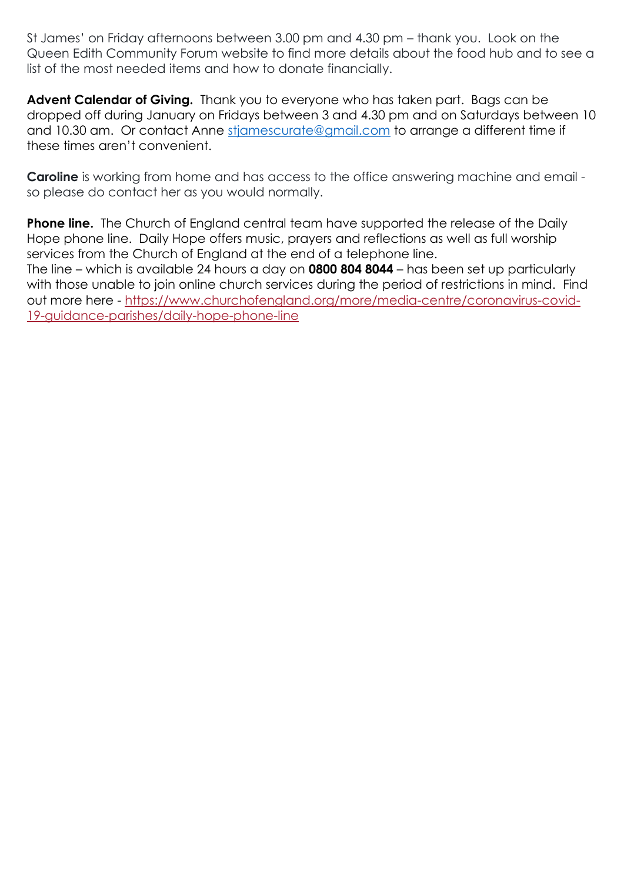St James' on Friday afternoons between 3.00 pm and 4.30 pm – thank you. Look on the Queen Edith Community Forum website to find more details about the food hub and to see a list of the most needed items and how to donate financially.

**Advent Calendar of Giving.** Thank you to everyone who has taken part. Bags can be dropped off during January on Fridays between 3 and 4.30 pm and on Saturdays between 10 and 10.30 am. Or contact Anne stiamescurate@gmail.com to arrange a different time if these times aren't convenient.

**Caroline** is working from home and has access to the office answering machine and email so please do contact her as you would normally.

**Phone line.** The Church of England central team have supported the release of the Daily Hope phone line. Daily Hope offers music, prayers and reflections as well as full worship services from the Church of England at the end of a telephone line.

The line – which is available 24 hours a day on **0800 804 8044** – has been set up particularly with those unable to join online church services during the period of restrictions in mind. Find out more here - [https://www.churchofengland.org/more/media-centre/coronavirus-covid-](https://www.churchofengland.org/more/media-centre/coronavirus-covid-19-guidance-parishes/daily-hope-phone-line)[19-guidance-parishes/daily-hope-phone-line](https://www.churchofengland.org/more/media-centre/coronavirus-covid-19-guidance-parishes/daily-hope-phone-line)